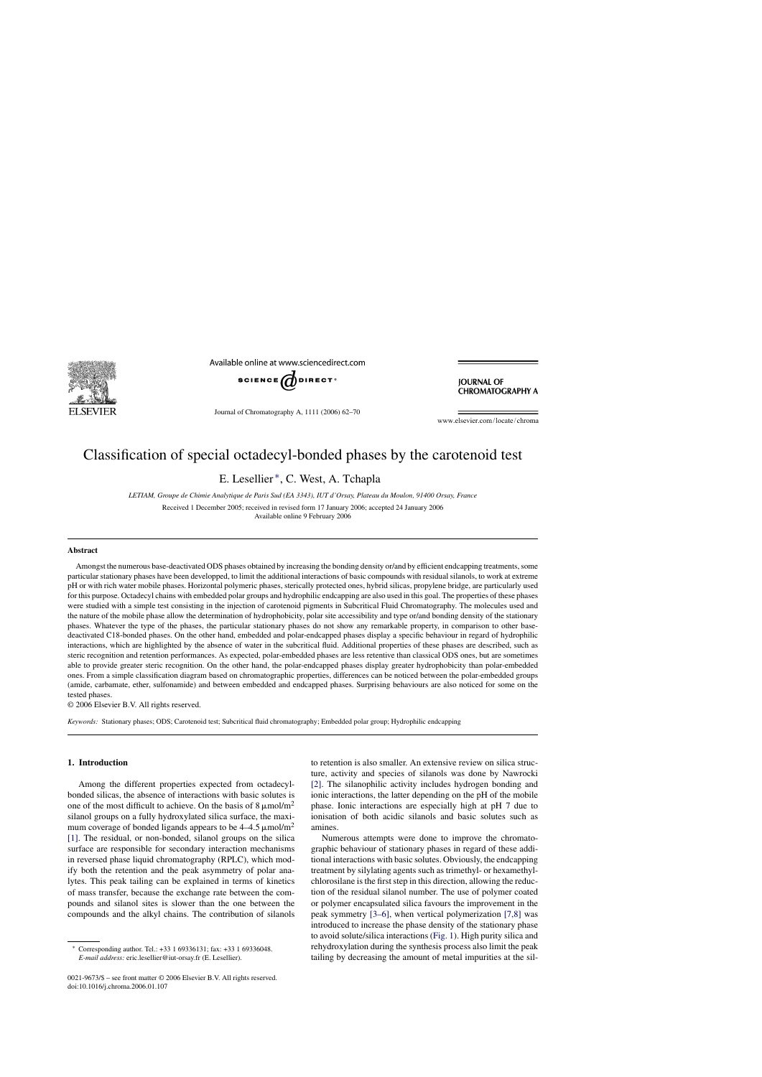

Available online at www.sciencedirect.com



Journal of Chromatography A, 1111 (2006) 62–70

**IOURNAL OF CHROMATOGRAPHY A** 

www.elsevier.com/locate/chroma

# Classification of special octadecyl-bonded phases by the carotenoid test

E. Lesellier ∗, C. West, A. Tchapla

*LETIAM, Groupe de Chimie Analytique de Paris Sud (EA 3343), IUT d'Orsay, Plateau du Moulon, 91400 Orsay, France*

Received 1 December 2005; received in revised form 17 January 2006; accepted 24 January 2006 Available online 9 February 2006

### **Abstract**

Amongst the numerous base-deactivated ODS phases obtained by increasing the bonding density or/and by efficient endcapping treatments, some particular stationary phases have been developped, to limit the additional interactions of basic compounds with residual silanols, to work at extreme pH or with rich water mobile phases. Horizontal polymeric phases, sterically protected ones, hybrid silicas, propylene bridge, are particularly used for this purpose. Octadecyl chains with embedded polar groups and hydrophilic endcapping are also used in this goal. The properties of these phases were studied with a simple test consisting in the injection of carotenoid pigments in Subcritical Fluid Chromatography. The molecules used and the nature of the mobile phase allow the determination of hydrophobicity, polar site accessibility and type or/and bonding density of the stationary phases. Whatever the type of the phases, the particular stationary phases do not show any remarkable property, in comparison to other basedeactivated C18-bonded phases. On the other hand, embedded and polar-endcapped phases display a specific behaviour in regard of hydrophilic interactions, which are highlighted by the absence of water in the subcritical fluid. Additional properties of these phases are described, such as steric recognition and retention performances. As expected, polar-embedded phases are less retentive than classical ODS ones, but are sometimes able to provide greater steric recognition. On the other hand, the polar-endcapped phases display greater hydrophobicity than polar-embedded ones. From a simple classification diagram based on chromatographic properties, differences can be noticed between the polar-embedded groups (amide, carbamate, ether, sulfonamide) and between embedded and endcapped phases. Surprising behaviours are also noticed for some on the tested phases.

© 2006 Elsevier B.V. All rights reserved.

*Keywords:* Stationary phases; ODS; Carotenoid test; Subcritical fluid chromatography; Embedded polar group; Hydrophilic endcapping

# **1. Introduction**

Among the different properties expected from octadecylbonded silicas, the absence of interactions with basic solutes is one of the most difficult to achieve. On the basis of  $8 \mu \text{mol/m}^2$ silanol groups on a fully hydroxylated silica surface, the maximum coverage of bonded ligands appears to be  $4-4.5 \,\mathrm{\mu mol/m^2}$ [\[1\].](#page-8-0) The residual, or non-bonded, silanol groups on the silica surface are responsible for secondary interaction mechanisms in reversed phase liquid chromatography (RPLC), which modify both the retention and the peak asymmetry of polar analytes. This peak tailing can be explained in terms of kinetics of mass transfer, because the exchange rate between the compounds and silanol sites is slower than the one between the compounds and the alkyl chains. The contribution of silanols

0021-9673/\$ – see front matter © 2006 Elsevier B.V. All rights reserved. doi:10.1016/j.chroma.2006.01.107

to retention is also smaller. An extensive review on silica structure, activity and species of silanols was done by Nawrocki [\[2\].](#page-8-0) The silanophilic activity includes hydrogen bonding and ionic interactions, the latter depending on the pH of the mobile phase. Ionic interactions are especially high at pH 7 due to ionisation of both acidic silanols and basic solutes such as amines.

Numerous attempts were done to improve the chromatographic behaviour of stationary phases in regard of these additional interactions with basic solutes. Obviously, the endcapping treatment by silylating agents such as trimethyl- or hexamethylchlorosilane is the first step in this direction, allowing the reduction of the residual silanol number. The use of polymer coated or polymer encapsulated silica favours the improvement in the peak symmetry [\[3–6\],](#page-8-0) when vertical polymerization [\[7,8\]](#page-8-0) was introduced to increase the phase density of the stationary phase to avoid solute/silica interactions ([Fig. 1\).](#page-1-0) High purity silica and rehydroxylation during the synthesis process also limit the peak tailing by decreasing the amount of metal impurities at the sil-

<sup>∗</sup> Corresponding author. Tel.: +33 1 69336131; fax: +33 1 69336048. *E-mail address:* eric.lesellier@iut-orsay.fr (E. Lesellier).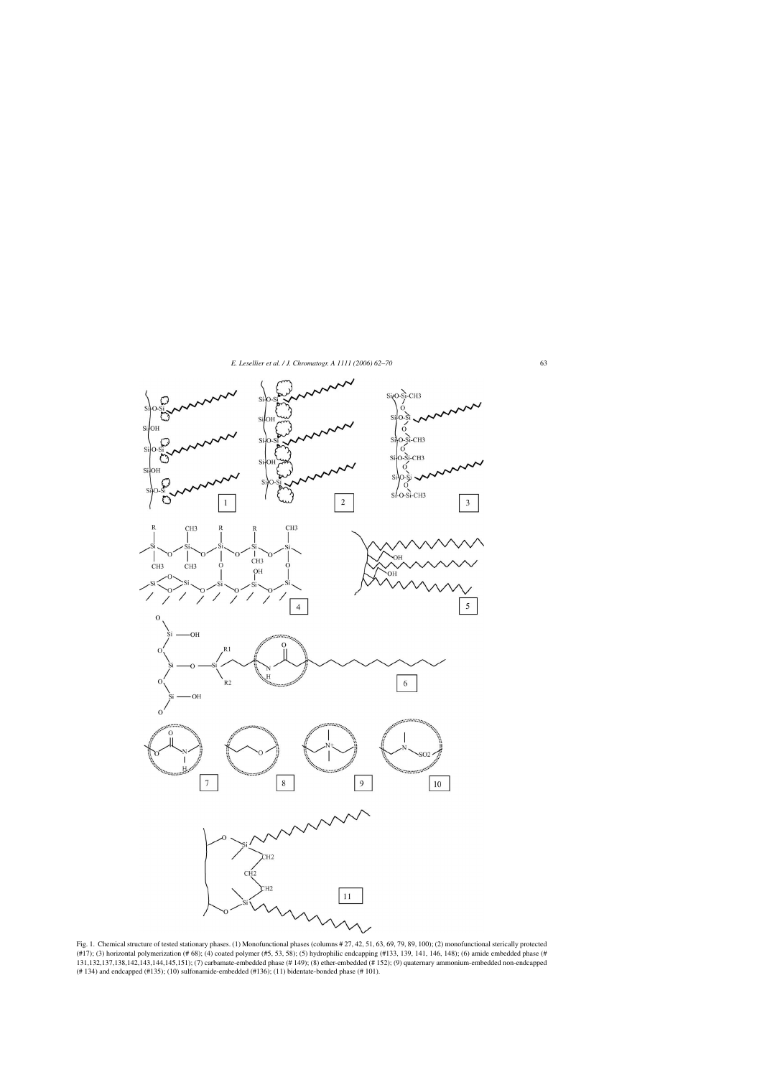<span id="page-1-0"></span>

Fig. 1. Chemical structure of tested stationary phases. (1) Monofunctional phases (columns # 27, 42, 51, 63, 69, 79, 89, 100); (2) monofunctional sterically protected (#17); (3) horizontal polymerization (# 68); (4) coated polymer (#5, 53, 58); (5) hydrophilic endcapping (#133, 139, 141, 146, 148); (6) amide embedded phase (# 131,132,137,138,142,143,144,145,151); (7) carbamate-embedded phase (# 149); (8) ether-embedded (# 152); (9) quaternary ammonium-embedded non-endcapped (# 134) and endcapped (#135); (10) sulfonamide-embedded (#136); (11) bidentate-bonded phase (# 101).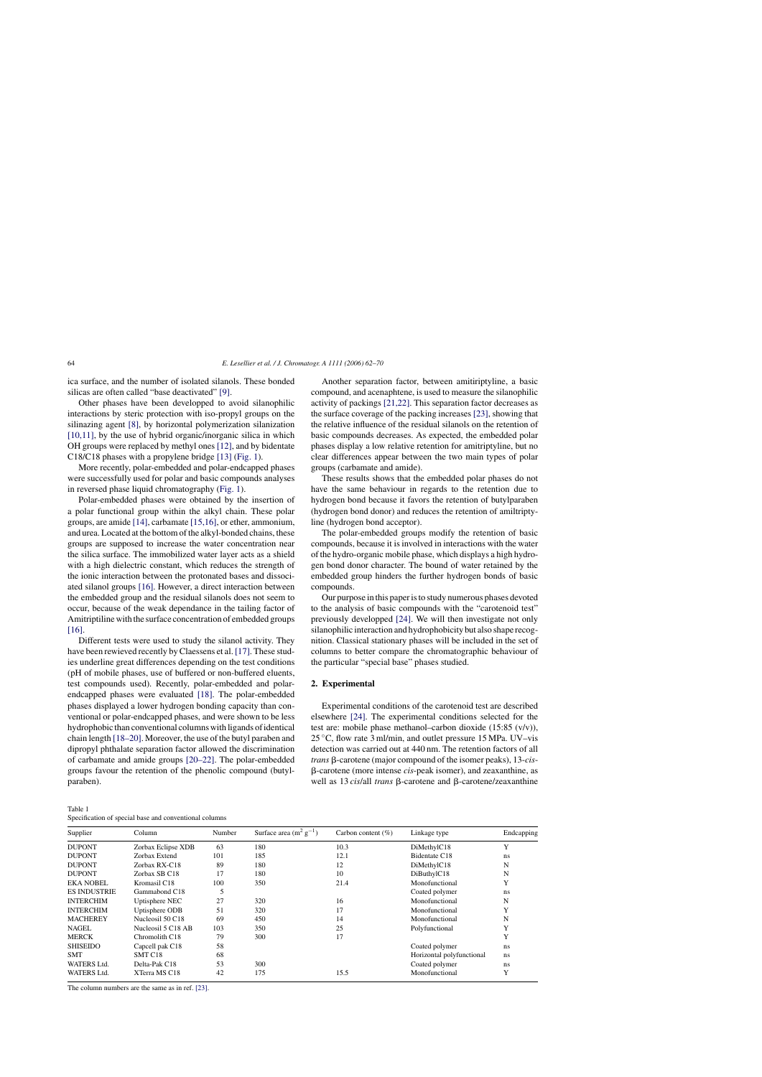<span id="page-2-0"></span>ica surface, and the number of isolated silanols. These bonded silicas are often called "base deactivated" [\[9\].](#page-8-0)

Other phases have been developped to avoid silanophilic interactions by steric protection with iso-propyl groups on the silinazing agent [\[8\],](#page-8-0) by horizontal polymerization silanization [\[10,11\],](#page-8-0) by the use of hybrid organic/inorganic silica in which OH groups were replaced by methyl ones [\[12\], a](#page-8-0)nd by bidentate C18/C18 phases with a propylene bridge [\[13\]](#page-8-0) [\(Fig. 1\).](#page-1-0)

More recently, polar-embedded and polar-endcapped phases were successfully used for polar and basic compounds analyses in reversed phase liquid chromatography ([Fig. 1\).](#page-1-0)

Polar-embedded phases were obtained by the insertion of a polar functional group within the alkyl chain. These polar groups, are amide [\[14\], c](#page-8-0)arbamate [\[15,16\], o](#page-8-0)r ether, ammonium, and urea. Located at the bottom of the alkyl-bonded chains, these groups are supposed to increase the water concentration near the silica surface. The immobilized water layer acts as a shield with a high dielectric constant, which reduces the strength of the ionic interaction between the protonated bases and dissociated silanol groups [\[16\].](#page-8-0) However, a direct interaction between the embedded group and the residual silanols does not seem to occur, because of the weak dependance in the tailing factor of Amitriptiline with the surface concentration of embedded groups [\[16\].](#page-8-0)

Different tests were used to study the silanol activity. They have been rewieved recently by Claessens et al. [\[17\]. T](#page-8-0)hese studies underline great differences depending on the test conditions (pH of mobile phases, use of buffered or non-buffered eluents, test compounds used). Recently, polar-embedded and polarendcapped phases were evaluated [\[18\].](#page-8-0) The polar-embedded phases displayed a lower hydrogen bonding capacity than conventional or polar-endcapped phases, and were shown to be less hydrophobic than conventional columns with ligands of identical chain length [\[18–20\]. M](#page-8-0)oreover, the use of the butyl paraben and dipropyl phthalate separation factor allowed the discrimination of carbamate and amide groups [\[20–22\].](#page-8-0) The polar-embedded groups favour the retention of the phenolic compound (butylparaben).

| Table 1 |  |
|---------|--|
|         |  |

| Specification of special base and conventional columns |
|--------------------------------------------------------|
|--------------------------------------------------------|

Another separation factor, between amitiriptyline, a basic compound, and acenaphtene, is used to measure the silanophilic activity of packings [\[21,22\]. T](#page-8-0)his separation factor decreases as the surface coverage of the packing increases [\[23\], s](#page-8-0)howing that the relative influence of the residual silanols on the retention of basic compounds decreases. As expected, the embedded polar phases display a low relative retention for amitriptyline, but no clear differences appear between the two main types of polar groups (carbamate and amide).

These results shows that the embedded polar phases do not have the same behaviour in regards to the retention due to hydrogen bond because it favors the retention of butylparaben (hydrogen bond donor) and reduces the retention of amiltriptyline (hydrogen bond acceptor).

The polar-embedded groups modify the retention of basic compounds, because it is involved in interactions with the water of the hydro-organic mobile phase, which displays a high hydrogen bond donor character. The bound of water retained by the embedded group hinders the further hydrogen bonds of basic compounds.

Our purpose in this paper is to study numerous phases devoted to the analysis of basic compounds with the "carotenoid test" previously developped [\[24\].](#page-8-0) We will then investigate not only silanophilic interaction and hydrophobicity but also shape recognition. Classical stationary phases will be included in the set of columns to better compare the chromatographic behaviour of the particular "special base" phases studied.

## **2. Experimental**

Experimental conditions of the carotenoid test are described elsewhere [\[24\].](#page-8-0) The experimental conditions selected for the test are: mobile phase methanol–carbon dioxide (15:85 (v/v)), 25  $\degree$ C, flow rate 3 ml/min, and outlet pressure 15 MPa. UV–vis detection was carried out at 440 nm. The retention factors of all *trans* β-carotene (major compound of the isomer peaks), 13-*cis*---carotene (more intense *cis*-peak isomer), and zeaxanthine, as well as 13 *cis/all trans* β-carotene and β-carotene/zeaxanthine

| Supplier           | Column                      | Number | Surface area $(m^2 g^{-1})$ | Carbon content $(\% )$ | Linkage type              | Endcapping |
|--------------------|-----------------------------|--------|-----------------------------|------------------------|---------------------------|------------|
| DUPONT             | Zorbax Eclipse XDB          | 63     | 180                         | 10.3                   | DiMethylC18               | Y          |
| DUPONT             | Zorbax Extend               | 101    | 185                         | 12.1                   | Bidentate C18             | ns         |
| DUPONT             | Zorbax RX-C18               | 89     | 180                         | 12                     | DiMethylC18               | N          |
| DUPONT             | Zorbax SB C18               | 17     | 180                         | 10                     | DiButhylC18               | N          |
| EKA NOBEL          | Kromasil C18                | 100    | 350                         | 21.4                   | Monofunctional            | Y          |
| ES INDUSTRIE       | Gammabond C18               |        |                             |                        | Coated polymer            | ns         |
| INTERCHIM          | Uptisphere NEC              | 27     | 320                         | 16                     | Monofunctional            | N          |
| INTERCHIM          | Uptisphere ODB              | 51     | 320                         | 17                     | Monofunctional            | Y          |
| MACHEREY           | Nucleosil 50 C18            | 69     | 450                         | 14                     | Monofunctional            | N          |
| NAGEL              | Nucleosil 5 C18 AB          | 103    | 350                         | 25                     | Polyfunctional            | Y          |
| MERCK              | Chromolith C18              | 79     | 300                         | 17                     |                           | Y          |
| SHISEIDO           | Capcell pak C <sub>18</sub> | 58     |                             |                        | Coated polymer            | ns         |
| SMT                | SMT C <sub>18</sub>         | 68     |                             |                        | Horizontal polyfunctional | ns         |
| <b>WATERS Ltd.</b> | Delta-Pak C18               | 53     | 300                         |                        | Coated polymer            | ns         |
| <b>WATERS Ltd.</b> | XTerra MS C18               | 42     | 175                         | 15.5                   | Monofunctional            | Y          |
|                    |                             |        |                             |                        |                           |            |

The column numbers are the same as in ref. [\[23\].](#page-8-0)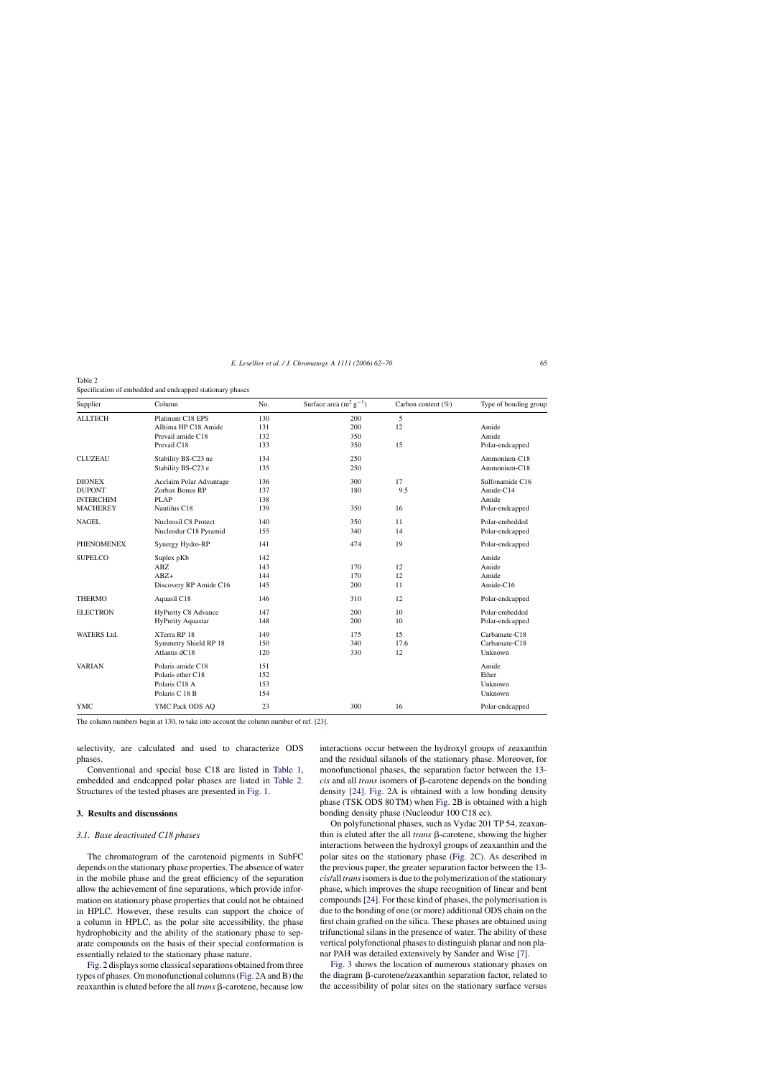<span id="page-3-0"></span>

| Table 2                                                   |
|-----------------------------------------------------------|
| Specification of embedded and endcapped stationary phases |

| Supplier          | Column                     | No. | Surface area $(m^2 g^{-1})$ | Carbon content $(\%)$ | Type of bonding group |
|-------------------|----------------------------|-----|-----------------------------|-----------------------|-----------------------|
| <b>ALLTECH</b>    | Platinum C18 EPS           | 130 | 200                         | 5                     |                       |
|                   | Alltima HP C18 Amide       | 131 | 200                         | 12                    | Amide                 |
|                   | Prevail amide C18          | 132 | 350                         |                       | Amide                 |
|                   | Prevail C18                | 133 | 350                         | 15                    | Polar-endcapped       |
| <b>CLUZEAU</b>    | Stability BS-C23 ne        | 134 | 250                         |                       | Ammonium-C18          |
|                   | Stability BS-C23 e         | 135 | 250                         |                       | Ammonium-C18          |
| <b>DIONEX</b>     | Acclaim Polar Advantage    | 136 | 300                         | 17                    | Sulfonamide C16       |
| <b>DUPONT</b>     | Zorbax Bonus RP            | 137 | 180                         | 9.5                   | Amide-C14             |
| <b>INTERCHIM</b>  | <b>PLAP</b>                | 138 |                             |                       | Amide                 |
| <b>MACHEREY</b>   | Nautilus C18               | 139 | 350                         | 16                    | Polar-endcapped       |
| <b>NAGEL</b>      | Nucleosil C8 Protect       | 140 | 350                         | 11                    | Polar-embedded        |
|                   | Nucleodur C18 Pyramid      | 155 | 340                         | 14                    | Polar-endcapped       |
| <b>PHENOMENEX</b> | Synergy Hydro-RP           | 141 | 474                         | 19                    | Polar-endcapped       |
| <b>SUPELCO</b>    | Suplex pKb                 | 142 |                             |                       | Amide                 |
|                   | ABZ                        | 143 | 170                         | 12                    | Amide                 |
|                   | $ABZ+$                     | 144 | 170                         | 12                    | Amide                 |
|                   | Discovery RP Amide C16     | 145 | 200                         | 11                    | Amide-C16             |
| <b>THERMO</b>     | Aquasil C18                | 146 | 310                         | 12                    | Polar-endcapped       |
| <b>ELECTRON</b>   | <b>HyPurity C8 Advance</b> | 147 | 200                         | 10                    | Polar-embedded        |
|                   | <b>HyPurity Aquastar</b>   | 148 | 200                         | 10                    | Polar-endcapped       |
| WATERS Ltd.       | XTerra RP 18               | 149 | 175                         | 15                    | Carbamate-C18         |
|                   | Symmetry Shield RP 18      | 150 | 340                         | 17.6                  | Carbamate-C18         |
|                   | Atlantis dC18              | 120 | 330                         | 12                    | Unknown               |
| <b>VARIAN</b>     | Polaris amide C18          | 151 |                             |                       | Amide                 |
|                   | Polaris ether C18          | 152 |                             |                       | Ether                 |
|                   | Polaris C18 A              | 153 |                             |                       | Unknown               |
|                   | Polaris C 18 B             | 154 |                             |                       | Unknown               |
| <b>YMC</b>        | YMC Pack ODS AQ            | 23  | 300                         | 16                    | Polar-endcapped       |

The column numbers begin at 130, to take into account the column number of ref. [\[23\].](#page-8-0)

selectivity, are calculated and used to characterize ODS phases.

Conventional and special base C18 are listed in [Table 1,](#page-2-0) embedded and endcapped polar phases are listed in Table 2. Structures of the tested phases are presented in [Fig. 1.](#page-1-0)

## **3. Results and discussions**

#### *3.1. Base deactivated C18 phases*

The chromatogram of the carotenoid pigments in SubFC depends on the stationary phase properties. The absence of water in the mobile phase and the great efficiency of the separation allow the achievement of fine separations, which provide information on stationary phase properties that could not be obtained in HPLC. However, these results can support the choice of a column in HPLC, as the polar site accessibility, the phase hydrophobicity and the ability of the stationary phase to separate compounds on the basis of their special conformation is essentially related to the stationary phase nature.

[Fig. 2](#page-4-0) displays some classical separations obtained from three types of phases. On monofunctional columns ([Fig. 2A](#page-4-0) and B) the zeaxanthin is eluted before the all *trans* β-carotene, because low

interactions occur between the hydroxyl groups of zeaxanthin and the residual silanols of the stationary phase. Moreover, for monofunctional phases, the separation factor between the 13  $cis$  and all *trans* isomers of  $\beta$ -carotene depends on the bonding density [\[24\].](#page-8-0) [Fig. 2A](#page-4-0) is obtained with a low bonding density phase (TSK ODS 80 TM) when [Fig. 2B](#page-4-0) is obtained with a high bonding density phase (Nucleodur 100 C18 ec).

On polyfunctional phases, such as Vydac 201 TP 54, zeaxanthin is eluted after the all *trans* β-carotene, showing the higher interactions between the hydroxyl groups of zeaxanthin and the polar sites on the stationary phase [\(Fig. 2C](#page-4-0)). As described in the previous paper, the greater separation factor between the 13 *cis*/all *trans*isomers is due to the polymerization of the stationary phase, which improves the shape recognition of linear and bent compounds [\[24\]. F](#page-8-0)or these kind of phases, the polymerisation is due to the bonding of one (or more) additional ODS chain on the first chain grafted on the silica. These phases are obtained using trifunctional silans in the presence of water. The ability of these vertical polyfonctional phases to distinguish planar and non planar PAH was detailed extensively by Sander and Wise [\[7\].](#page-8-0)

[Fig. 3](#page-5-0) shows the location of numerous stationary phases on the diagram  $\beta$ -carotene/zeaxanthin separation factor, related to the accessibility of polar sites on the stationary surface versus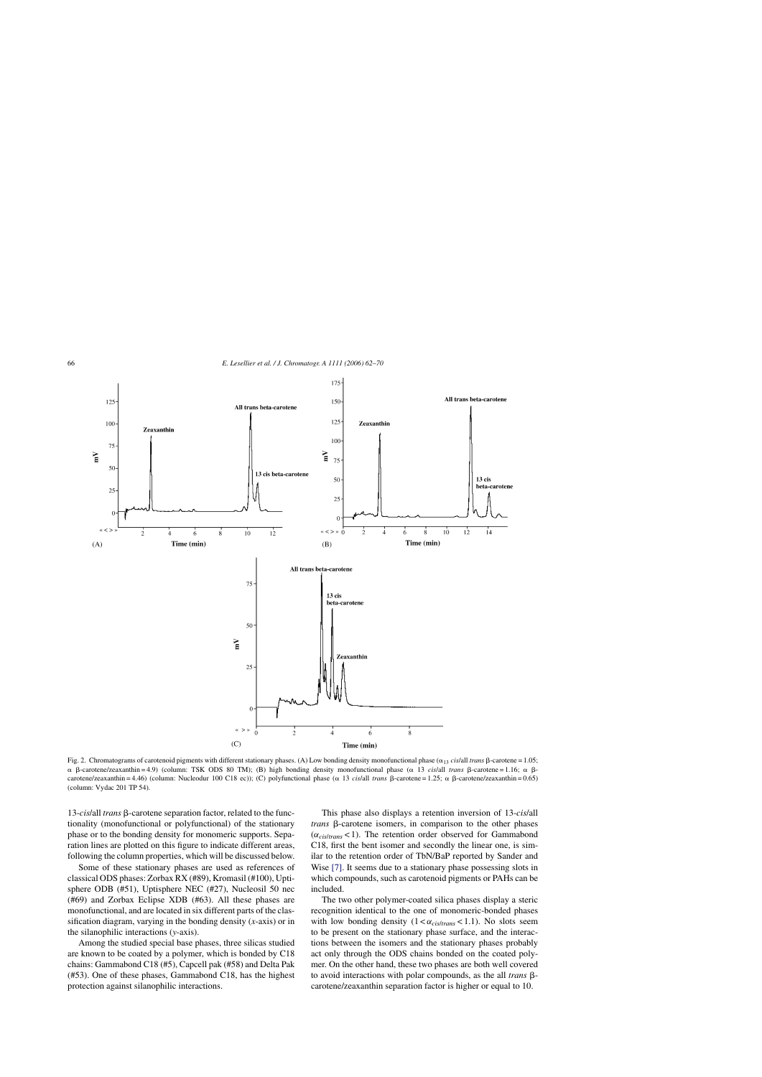<span id="page-4-0"></span>

Fig. 2. Chromatograms of carotenoid pigments with different stationary phases. (A) Low bonding density monofunctional phase  $(\alpha_{13} \text{ cis/all trans } \beta\text{-cartene} = 1.05;$  $\alpha$   $\beta$ -carotene/zeaxanthin = 4.9) (column: TSK ODS 80 TM); (B) high bonding density monofunctional phase ( $\alpha$  13 *cis/all trans*  $\beta$ -carotene = 1.16;  $\alpha$   $\beta$ carotene/zeaxanthin = 4.46) (column: Nucleodur 100 C18 ec)); (C) polyfunctional phase ( $\alpha$  13 *cis*/all *trans*  $\beta$ -carotene = 1.25;  $\alpha$   $\beta$ -carotene/zeaxanthin = 0.65) (column: Vydac 201 TP 54).

13-*cis*/all *trans*  $\beta$ -carotene separation factor, related to the functionality (monofunctional or polyfunctional) of the stationary phase or to the bonding density for monomeric supports. Separation lines are plotted on this figure to indicate different areas, following the column properties, which will be discussed below.

Some of these stationary phases are used as references of classical ODS phases: Zorbax RX (#89), Kromasil (#100), Uptisphere ODB (#51), Uptisphere NEC (#27), Nucleosil 50 nec (#69) and Zorbax Eclipse XDB (#63). All these phases are monofunctional, and are located in six different parts of the classification diagram, varying in the bonding density (*x*-axis) or in the silanophilic interactions (*y*-axis).

Among the studied special base phases, three silicas studied are known to be coated by a polymer, which is bonded by C18 chains: Gammabond C18 (#5), Capcell pak (#58) and Delta Pak (#53). One of these phases, Gammabond C18, has the highest protection against silanophilic interactions.

This phase also displays a retention inversion of 13-*cis*/all *trans*  $\beta$ -carotene isomers, in comparison to the other phases (α*cis*/*trans* < 1). The retention order observed for Gammabond C18, first the bent isomer and secondly the linear one, is similar to the retention order of TbN/BaP reported by Sander and Wise [\[7\].](#page-8-0) It seems due to a stationary phase possessing slots in which compounds, such as carotenoid pigments or PAHs can be included.

The two other polymer-coated silica phases display a steric recognition identical to the one of monomeric-bonded phases with low bonding density  $(1 < \alpha_{cis/trans} < 1.1)$ . No slots seem to be present on the stationary phase surface, and the interactions between the isomers and the stationary phases probably act only through the ODS chains bonded on the coated polymer. On the other hand, these two phases are both well covered to avoid interactions with polar compounds, as the all *trans*  $\beta$ carotene/zeaxanthin separation factor is higher or equal to 10.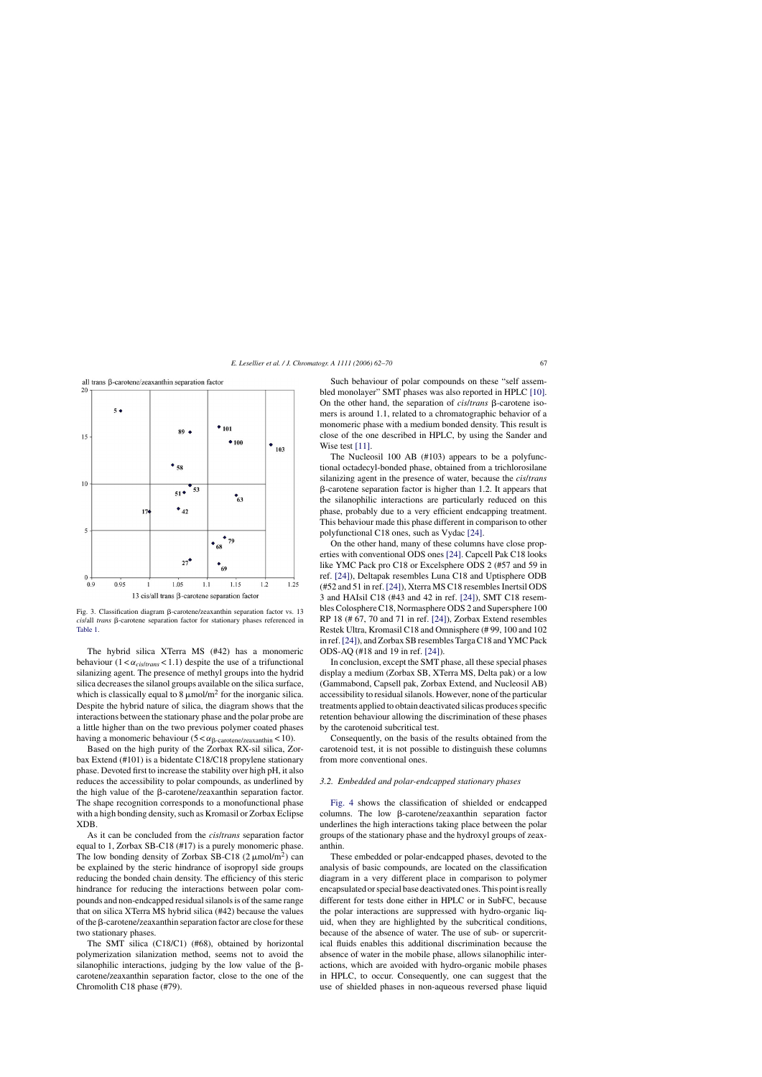<span id="page-5-0"></span>

Fig. 3. Classification diagram  $\beta$ -carotene/zeaxanthin separation factor vs. 13 cis/all *trans*  $\beta$ -carotene separation factor for stationary phases referenced in [Table 1.](#page-2-0)

The hybrid silica XTerra MS (#42) has a monomeric behaviour  $(1 < \alpha_{cis/trans} < 1.1)$  despite the use of a trifunctional silanizing agent. The presence of methyl groups into the hydrid silica decreases the silanol groups available on the silica surface, which is classically equal to 8  $\mu$ mol/m<sup>2</sup> for the inorganic silica. Despite the hybrid nature of silica, the diagram shows that the interactions between the stationary phase and the polar probe are a little higher than on the two previous polymer coated phases having a monomeric behaviour  $(5 < \alpha_{\beta\text{-}carotene/zeaxanthin} < 10)$ .

Based on the high purity of the Zorbax RX-sil silica, Zorbax Extend (#101) is a bidentate C18/C18 propylene stationary phase. Devoted first to increase the stability over high pH, it also reduces the accessibility to polar compounds, as underlined by the high value of the  $\beta$ -carotene/zeaxanthin separation factor. The shape recognition corresponds to a monofunctional phase with a high bonding density, such as Kromasil or Zorbax Eclipse XDB.

As it can be concluded from the *cis*/*trans* separation factor equal to 1, Zorbax SB-C18 (#17) is a purely monomeric phase. The low bonding density of Zorbax SB-C18 (2  $\mu$ mol/m<sup>2</sup>) can be explained by the steric hindrance of isopropyl side groups reducing the bonded chain density. The efficiency of this steric hindrance for reducing the interactions between polar compounds and non-endcapped residual silanols is of the same range that on silica XTerra MS hybrid silica (#42) because the values of the  $\beta$ -carotene/zeaxanthin separation factor are close for these two stationary phases.

The SMT silica (C18/C1) (#68), obtained by horizontal polymerization silanization method, seems not to avoid the silanophilic interactions, judging by the low value of the  $\beta$ carotene/zeaxanthin separation factor, close to the one of the Chromolith C18 phase (#79).

Such behaviour of polar compounds on these "self assembled monolayer" SMT phases was also reported in HPLC [\[10\].](#page-8-0) On the other hand, the separation of  $cis/trans$   $\beta$ -carotene isomers is around 1.1, related to a chromatographic behavior of a monomeric phase with a medium bonded density. This result is close of the one described in HPLC, by using the Sander and Wise test [\[11\].](#page-8-0)

The Nucleosil 100 AB (#103) appears to be a polyfunctional octadecyl-bonded phase, obtained from a trichlorosilane silanizing agent in the presence of water, because the *cis*/*trans* --carotene separation factor is higher than 1.2. It appears that the silanophilic interactions are particularly reduced on this phase, probably due to a very efficient endcapping treatment. This behaviour made this phase different in comparison to other polyfunctional C18 ones, such as Vydac [\[24\].](#page-8-0)

On the other hand, many of these columns have close properties with conventional ODS ones [\[24\]. C](#page-8-0)apcell Pak C18 looks like YMC Pack pro C18 or Excelsphere ODS 2 (#57 and 59 in ref. [\[24\]\),](#page-8-0) Deltapak resembles Luna C18 and Uptisphere ODB (#52 and 51 in ref. [\[24\]\),](#page-8-0) Xterra MS C18 resembles Inertsil ODS 3 and HAIsil C18 (#43 and 42 in ref. [\[24\]\),](#page-8-0) SMT C18 resembles Colosphere C18, Normasphere ODS 2 and Supersphere 100 RP 18 (# 67, 70 and 71 in ref. [\[24\]\),](#page-8-0) Zorbax Extend resembles Restek Ultra, Kromasil C18 and Omnisphere (# 99, 100 and 102 in ref.[\[24\]\),](#page-8-0) and Zorbax SB resembles Targa C18 and YMC Pack ODS-AQ (#18 and 19 in ref. [\[24\]\).](#page-8-0)

In conclusion, except the SMT phase, all these special phases display a medium (Zorbax SB, XTerra MS, Delta pak) or a low (Gammabond, Capsell pak, Zorbax Extend, and Nucleosil AB) accessibility to residual silanols. However, none of the particular treatments applied to obtain deactivated silicas produces specific retention behaviour allowing the discrimination of these phases by the carotenoid subcritical test.

Consequently, on the basis of the results obtained from the carotenoid test, it is not possible to distinguish these columns from more conventional ones.

### *3.2. Embedded and polar-endcapped stationary phases*

[Fig. 4](#page-6-0) shows the classification of shielded or endcapped  $columns.$  The low  $\beta$ -carotene/zeaxanthin separation factor underlines the high interactions taking place between the polar groups of the stationary phase and the hydroxyl groups of zeaxanthin.

These embedded or polar-endcapped phases, devoted to the analysis of basic compounds, are located on the classification diagram in a very different place in comparison to polymer encapsulated or special base deactivated ones. This point is really different for tests done either in HPLC or in SubFC, because the polar interactions are suppressed with hydro-organic liquid, when they are highlighted by the subcritical conditions, because of the absence of water. The use of sub- or supercritical fluids enables this additional discrimination because the absence of water in the mobile phase, allows silanophilic interactions, which are avoided with hydro-organic mobile phases in HPLC, to occur. Consequently, one can suggest that the use of shielded phases in non-aqueous reversed phase liquid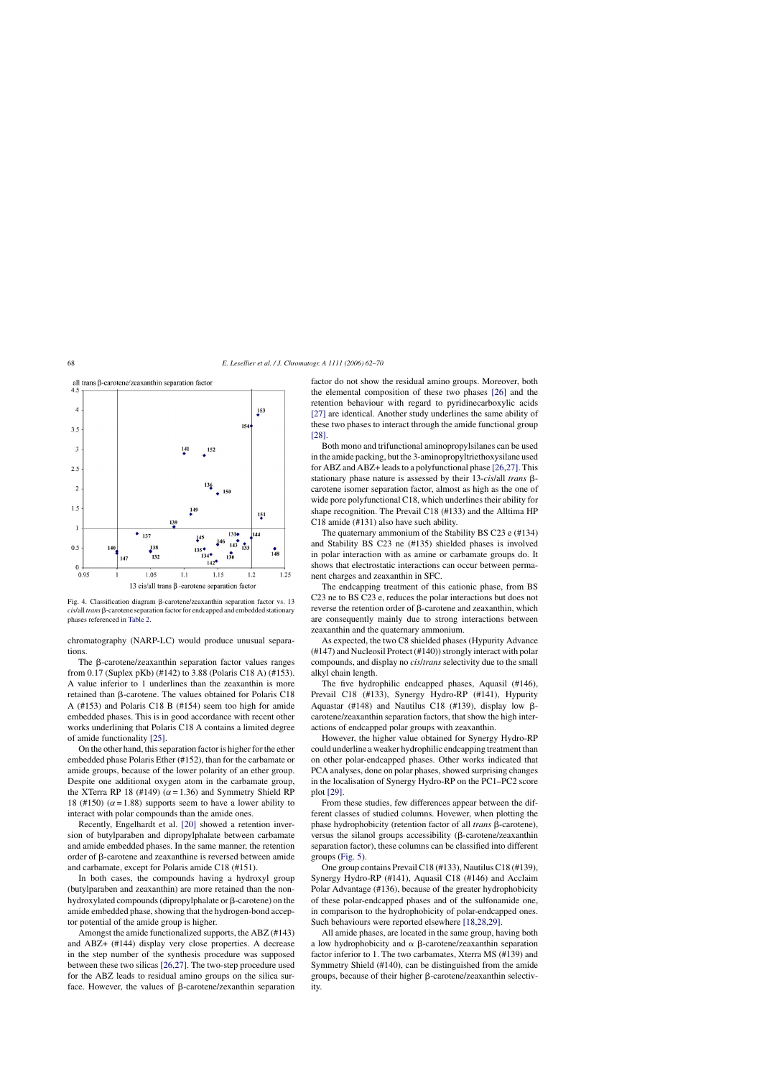<span id="page-6-0"></span>



Fig. 4. Classification diagram ß-carotene/zeaxanthin separation factor vs. 13 cis/all *trans*  $\beta$ -carotene separation factor for endcapped and embedded stationary phases referenced in [Table 2.](#page-3-0)

chromatography (NARP-LC) would produce unusual separations.

The  $\beta$ -carotene/zeaxanthin separation factor values ranges from 0.17 (Suplex pKb) (#142) to 3.88 (Polaris C18 A) (#153). A value inferior to 1 underlines than the zeaxanthin is more retained than  $\beta$ -carotene. The values obtained for Polaris C18 A (#153) and Polaris C18 B (#154) seem too high for amide embedded phases. This is in good accordance with recent other works underlining that Polaris C18 A contains a limited degree of amide functionality [\[25\].](#page-8-0)

On the other hand, this separation factor is higher for the ether embedded phase Polaris Ether (#152), than for the carbamate or amide groups, because of the lower polarity of an ether group. Despite one additional oxygen atom in the carbamate group, the XTerra RP 18 (#149) ( $\alpha$  = 1.36) and Symmetry Shield RP 18 (#150) ( $\alpha$  = 1.88) supports seem to have a lower ability to interact with polar compounds than the amide ones.

Recently, Engelhardt et al. [\[20\]](#page-8-0) showed a retention inversion of butylparaben and dipropylphalate between carbamate and amide embedded phases. In the same manner, the retention order of  $\beta$ -carotene and zeaxanthine is reversed between amide and carbamate, except for Polaris amide C18 (#151).

In both cases, the compounds having a hydroxyl group (butylparaben and zeaxanthin) are more retained than the nonhydroxylated compounds (dipropylphalate or  $\beta$ -carotene) on the amide embedded phase, showing that the hydrogen-bond acceptor potential of the amide group is higher.

Amongst the amide functionalized supports, the ABZ (#143) and ABZ+ (#144) display very close properties. A decrease in the step number of the synthesis procedure was supposed between these two silicas [\[26,27\].](#page-8-0) The two-step procedure used for the ABZ leads to residual amino groups on the silica surface. However, the values of  $\beta$ -carotene/zexanthin separation

factor do not show the residual amino groups. Moreover, both the elemental composition of these two phases [\[26\]](#page-8-0) and the retention behaviour with regard to pyridinecarboxylic acids [\[27\]](#page-8-0) are identical. Another study underlines the same ability of these two phases to interact through the amide functional group [\[28\].](#page-8-0)

Both mono and trifunctional aminopropylsilanes can be used in the amide packing, but the 3-aminopropyltriethoxysilane used for ABZ and ABZ+ leads to a polyfunctional phase [\[26,27\]. T](#page-8-0)his stationary phase nature is assessed by their 13-*cis/all trans*  $\beta$ carotene isomer separation factor, almost as high as the one of wide pore polyfunctional C18, which underlines their ability for shape recognition. The Prevail C18 (#133) and the Alltima HP C18 amide (#131) also have such ability.

The quaternary ammonium of the Stability BS C23 e (#134) and Stability BS C23 ne (#135) shielded phases is involved in polar interaction with as amine or carbamate groups do. It shows that electrostatic interactions can occur between permanent charges and zeaxanthin in SFC.

The endcapping treatment of this cationic phase, from BS C23 ne to BS C23 e, reduces the polar interactions but does not reverse the retention order of  $\beta$ -carotene and zeaxanthin, which are consequently mainly due to strong interactions between zeaxanthin and the quaternary ammonium.

As expected, the two C8 shielded phases (Hypurity Advance (#147) and Nucleosil Protect (#140)) strongly interact with polar compounds, and display no *cis*/*trans* selectivity due to the small alkyl chain length.

The five hydrophilic endcapped phases, Aquasil (#146), Prevail C18 (#133), Synergy Hydro-RP (#141), Hypurity Aquastar (#148) and Nautilus C18 (#139), display low  $\beta$ carotene/zeaxanthin separation factors, that show the high interactions of endcapped polar groups with zeaxanthin.

However, the higher value obtained for Synergy Hydro-RP could underline a weaker hydrophilic endcapping treatment than on other polar-endcapped phases. Other works indicated that PCA analyses, done on polar phases, showed surprising changes in the localisation of Synergy Hydro-RP on the PC1–PC2 score plot [\[29\].](#page-8-0)

From these studies, few differences appear between the different classes of studied columns. Hovewer, when plotting the phase hydrophobicity (retention factor of all *trans* β-carotene), versus the silanol groups accessibility ( $\beta$ -carotene/zeaxanthin separation factor), these columns can be classified into different groups ([Fig. 5\).](#page-7-0)

One group contains Prevail C18 (#133), Nautilus C18 (#139), Synergy Hydro-RP (#141), Aquasil C18 (#146) and Acclaim Polar Advantage (#136), because of the greater hydrophobicity of these polar-endcapped phases and of the sulfonamide one, in comparison to the hydrophobicity of polar-endcapped ones. Such behaviours were reported elsewhere [\[18,28,29\].](#page-8-0)

All amide phases, are located in the same group, having both a low hydrophobicity and  $\alpha$   $\beta$ -carotene/zeaxanthin separation factor inferior to 1. The two carbamates, Xterra MS (#139) and Symmetry Shield (#140), can be distinguished from the amide groups, because of their higher  $\beta$ -carotene/zeaxanthin selectivity.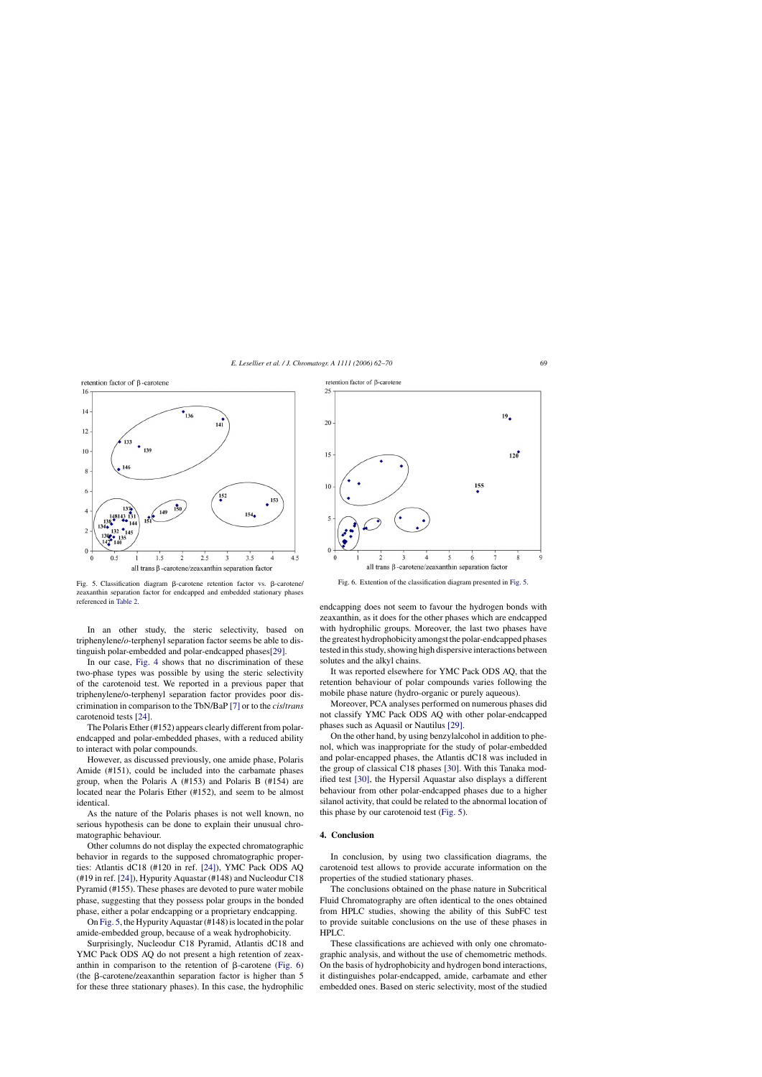<span id="page-7-0"></span>



Fig. 5. Classification diagram ß-carotene retention factor vs. ß-carotene/ zeaxanthin separation factor for endcapped and embedded stationary phases referenced in [Table 2.](#page-3-0)

In an other study, the steric selectivity, based on triphenylene/*o*-terphenyl separation factor seems be able to distinguish polar-embedded and polar-endcapped phase[s\[29\].](#page-8-0)

In our case, [Fig. 4](#page-6-0) shows that no discrimination of these two-phase types was possible by using the steric selectivity of the carotenoid test. We reported in a previous paper that triphenylene/o-terphenyl separation factor provides poor discrimination in comparison to the TbN/BaP [\[7\]](#page-8-0) or to the *cis*/*trans* carotenoid tests [\[24\].](#page-8-0)

The Polaris Ether (#152) appears clearly different from polarendcapped and polar-embedded phases, with a reduced ability to interact with polar compounds.

However, as discussed previously, one amide phase, Polaris Amide (#151), could be included into the carbamate phases group, when the Polaris A (#153) and Polaris B (#154) are located near the Polaris Ether (#152), and seem to be almost identical.

As the nature of the Polaris phases is not well known, no serious hypothesis can be done to explain their unusual chromatographic behaviour.

Other columns do not display the expected chromatographic behavior in regards to the supposed chromatographic properties: Atlantis dC18 (#120 in ref. [\[24\]\),](#page-8-0) YMC Pack ODS AQ (#19 in ref. [\[24\]\),](#page-8-0) Hypurity Aquastar (#148) and Nucleodur C18 Pyramid (#155). These phases are devoted to pure water mobile phase, suggesting that they possess polar groups in the bonded phase, either a polar endcapping or a proprietary endcapping.

On Fig. 5, the Hypurity Aquastar (#148) is located in the polar amide-embedded group, because of a weak hydrophobicity.

Surprisingly, Nucleodur C18 Pyramid, Atlantis dC18 and YMC Pack ODS AQ do not present a high retention of zeaxanthin in comparison to the retention of  $\beta$ -carotene (Fig. 6) (the  $\beta$ -carotene/zeaxanthin separation factor is higher than 5 for these three stationary phases). In this case, the hydrophilic



Fig. 6. Extention of the classification diagram presented in Fig. 5.

endcapping does not seem to favour the hydrogen bonds with zeaxanthin, as it does for the other phases which are endcapped with hydrophilic groups. Moreover, the last two phases have the greatest hydrophobicity amongst the polar-endcapped phases tested in this study, showing high dispersive interactions between solutes and the alkyl chains.

It was reported elsewhere for YMC Pack ODS AQ, that the retention behaviour of polar compounds varies following the mobile phase nature (hydro-organic or purely aqueous).

Moreover, PCA analyses performed on numerous phases did not classify YMC Pack ODS AQ with other polar-endcapped phases such as Aquasil or Nautilus [\[29\].](#page-8-0)

On the other hand, by using benzylalcohol in addition to phenol, which was inappropriate for the study of polar-embedded and polar-encapped phases, the Atlantis dC18 was included in the group of classical C18 phases [\[30\]. W](#page-8-0)ith this Tanaka modified test [\[30\],](#page-8-0) the Hypersil Aquastar also displays a different behaviour from other polar-endcapped phases due to a higher silanol activity, that could be related to the abnormal location of this phase by our carotenoid test (Fig. 5).

## **4. Conclusion**

In conclusion, by using two classification diagrams, the carotenoid test allows to provide accurate information on the properties of the studied stationary phases.

The conclusions obtained on the phase nature in Subcritical Fluid Chromatography are often identical to the ones obtained from HPLC studies, showing the ability of this SubFC test to provide suitable conclusions on the use of these phases in HPLC.

These classifications are achieved with only one chromatographic analysis, and without the use of chemometric methods. On the basis of hydrophobicity and hydrogen bond interactions, it distinguishes polar-endcapped, amide, carbamate and ether embedded ones. Based on steric selectivity, most of the studied